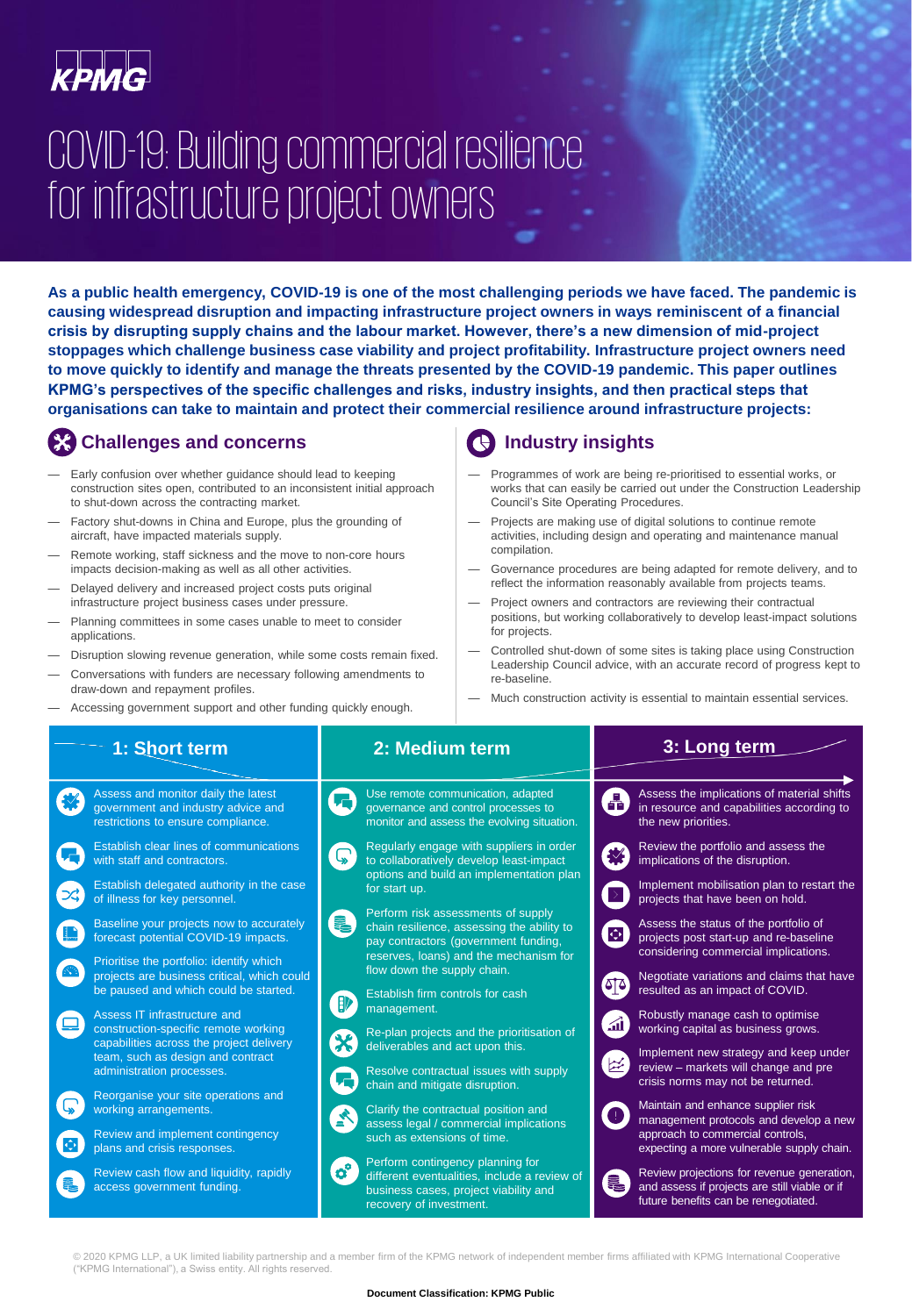# COVID-19: Building commercial resilience for infrastructure project owners

**As a public health emergency, COVID-19 is one of the most challenging periods we have faced. The pandemic is causing widespread disruption and impacting infrastructure project owners in ways reminiscent of a financial crisis by disrupting supply chains and the labour market. However, there's a new dimension of mid-project stoppages which challenge business case viability and project profitability. Infrastructure project owners need to move quickly to identify and manage the threats presented by the COVID-19 pandemic. This paper outlines KPMG's perspectives of the specific challenges and risks, industry insights, and then practical steps that organisations can take to maintain and protect their commercial resilience around infrastructure projects:**

# **Challenges and concerns**

- Early confusion over whether guidance should lead to keeping construction sites open, contributed to an inconsistent initial approach to shut-down across the contracting market.
- Factory shut-downs in China and Europe, plus the grounding of aircraft, have impacted materials supply.
- Remote working, staff sickness and the move to non-core hours impacts decision-making as well as all other activities.
- Delayed delivery and increased project costs puts original infrastructure project business cases under pressure.
- Planning committees in some cases unable to meet to consider applications.
- Disruption slowing revenue generation, while some costs remain fixed.
- Conversations with funders are necessary following amendments to draw-down and repayment profiles.
- Accessing government support and other funding quickly enough.

# **Industry insights**

- Programmes of work are being re-prioritised to essential works, or works that can easily be carried out under the Construction Leadership Council's Site Operating Procedures.
- Projects are making use of digital solutions to continue remote activities, including design and operating and maintenance manual compilation.
- Governance procedures are being adapted for remote delivery, and to reflect the information reasonably available from projects teams.
- Project owners and contractors are reviewing their contractual positions, but working collaboratively to develop least-impact solutions for projects.
- Controlled shut-down of some sites is taking place using Construction Leadership Council advice, with an accurate record of progress kept to re-baseline.
- Much construction activity is essential to maintain essential services.

| 1: Short term                                                                                                                                                                                                                                                                                                                                                                                                                                                                                                                                                                                                                      | 2: Medium term                                                                                                                                                                                                                                                                                                                                                                                                                                                                                                                                                                                                                                                               | 3: Long term                                                                                                                                                                                                                                                                                                                                                                                                                                                                                                                                                                                                                                                                                                                                                                  |
|------------------------------------------------------------------------------------------------------------------------------------------------------------------------------------------------------------------------------------------------------------------------------------------------------------------------------------------------------------------------------------------------------------------------------------------------------------------------------------------------------------------------------------------------------------------------------------------------------------------------------------|------------------------------------------------------------------------------------------------------------------------------------------------------------------------------------------------------------------------------------------------------------------------------------------------------------------------------------------------------------------------------------------------------------------------------------------------------------------------------------------------------------------------------------------------------------------------------------------------------------------------------------------------------------------------------|-------------------------------------------------------------------------------------------------------------------------------------------------------------------------------------------------------------------------------------------------------------------------------------------------------------------------------------------------------------------------------------------------------------------------------------------------------------------------------------------------------------------------------------------------------------------------------------------------------------------------------------------------------------------------------------------------------------------------------------------------------------------------------|
| Assess and monitor daily the latest<br>government and industry advice and<br>restrictions to ensure compliance.                                                                                                                                                                                                                                                                                                                                                                                                                                                                                                                    | Use remote communication, adapted<br>governance and control processes to<br>monitor and assess the evolving situation.                                                                                                                                                                                                                                                                                                                                                                                                                                                                                                                                                       | Assess the implications of material shifts<br>A)<br>in resource and capabilities according to<br>the new priorities.                                                                                                                                                                                                                                                                                                                                                                                                                                                                                                                                                                                                                                                          |
| Establish clear lines of communications<br>with staff and contractors.<br>Establish delegated authority in the case<br>of illness for key personnel.<br>Baseline your projects now to accurately<br>forecast potential COVID-19 impacts.<br>Prioritise the portfolio: identify which<br>projects are business critical, which could<br>be paused and which could be started.<br>Assess IT infrastructure and<br>construction-specific remote working<br>capabilities across the project delivery<br>team, such as design and contract<br>administration processes.<br>Reorganise your site operations and<br>working arrangements. | Regularly engage with suppliers in order<br>$\mathbb{Q}$<br>to collaboratively develop least-impact<br>options and build an implementation plan<br>for start up.<br>Perform risk assessments of supply<br>1<br>chain resilience, assessing the ability to<br>pay contractors (government funding,<br>reserves, loans) and the mechanism for<br>flow down the supply chain.<br>Establish firm controls for cash<br>management.<br>Re-plan projects and the prioritisation of<br>deliverables and act upon this.<br>Resolve contractual issues with supply<br>chain and mitigate disruption.<br>Clarify the contractual position and<br>assess legal / commercial implications | Review the portfolio and assess the<br>秘<br>implications of the disruption.<br>Implement mobilisation plan to restart the<br>$\rightarrow$<br>projects that have been on hold.<br>Assess the status of the portfolio of<br>$\overline{\mathbf{C}}$<br>projects post start-up and re-baseline<br>considering commercial implications.<br>Negotiate variations and claims that have<br>'গৰ<br>resulted as an impact of COVID.<br>Robustly manage cash to optimise<br>ail l<br>working capital as business grows.<br>Implement new strategy and keep under<br>$\left  \underline{\mathcal{X}} \right $<br>review - markets will change and pre<br>crisis norms may not be returned.<br>Maintain and enhance supplier risk<br>$\bullet$<br>management protocols and develop a new |
| Review and implement contingency<br>plans and crisis responses.<br>Review cash flow and liquidity, rapidly<br>access government funding.                                                                                                                                                                                                                                                                                                                                                                                                                                                                                           | such as extensions of time.<br>Perform contingency planning for<br>$\overline{\mathbf{o}}^{\circ}$<br>different eventualities, include a review of<br>business cases, project viability and<br>recovery of investment.                                                                                                                                                                                                                                                                                                                                                                                                                                                       | approach to commercial controls,<br>expecting a more vulnerable supply chain.<br>Review projections for revenue generation,<br>2<br>and assess if projects are still viable or if<br>future benefits can be renegotiated.                                                                                                                                                                                                                                                                                                                                                                                                                                                                                                                                                     |

© 2020 KPMG LLP, a UK limited liability partnership and a member firm of the KPMG network of independent member firms affiliated with KPMG International Cooperative<br>("KPMG International"), a Swiss entity. All rights reserv